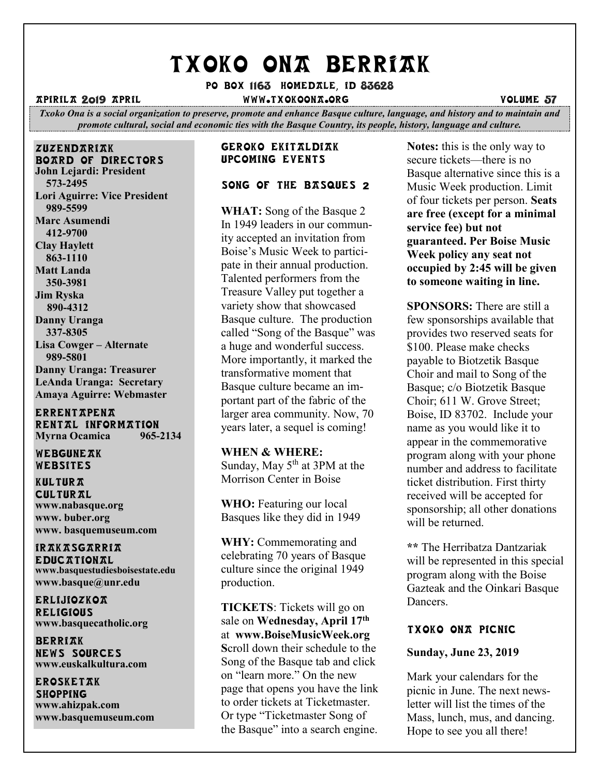# TXOKO ONA BERRIAK

Po box 1163 homedale, id 83628

apirila 2019 April www.txokoona.org volume 57

*Txoko Ona is a social organization to preserve, promote and enhance Basque culture, language, and history and to maintain and promote cultural, social and economic ties with the Basque Country, its people, history, language and culture.*

zuzendariak board of directors **John Lejardi: President 573-2495 Lori Aguirre: Vice President 989-5599 Marc Asumendi 412-9700 Clay Haylett 863-1110 Matt Landa 350-3981 Jim Ryska 890-4312 Danny Uranga 337-8305 Lisa Cowger – Alternate 989-5801 Danny Uranga: Treasurer LeAnda Uranga: Secretary Amaya Aguirre: Webmaster**

**ERRENTAPENA** RENTAL INFORMATION<br>Myrna Ocamica 965-2134 **Myrna Ocamica** 

WEBGUNEAK Websites

**KULTURA CULTURAL www.nabasque.org www. buber.org www. basquemuseum.com** 

irakasgarria **EDUCATIONAL www.basquestudiesboisestate.edu www.basque@unr.edu**

**ERLijiozko** $\pi$ **RELIGIOUS www.basquecatholic.org**

**BERRIAK** news sources **www.euskalkultura.com**

erosketak **SHOPPING www.ahizpak.com [www.basquemuseum.com](http://www.basquemuseum.com/)** 

#### Geroko ekitaldiak Upcoming events

# SONG OF THE BASQUES 2

**WHAT:** Song of the Basque 2 In 1949 leaders in our community accepted an invitation from Boise's Music Week to participate in their annual production. Talented performers from the Treasure Valley put together a variety show that showcased Basque culture. The production called "Song of the Basque" was a huge and wonderful success. More importantly, it marked the transformative moment that Basque culture became an important part of the fabric of the larger area community. Now, 70 years later, a sequel is coming!

#### **WHEN & WHERE:**

Sunday, May  $5<sup>th</sup>$  at 3PM at the Morrison Center in Boise

**WHO:** Featuring our local Basques like they did in 1949

**WHY:** Commemorating and celebrating 70 years of Basque culture since the original 1949 production.

**TICKETS**: Tickets will go on sale on **Wednesday, April 17th** at **[www.BoiseMusicWeek.org](http://www.boisemusicweek.org/) S**croll down their schedule to the Song of the Basque tab and click on "learn more." On the new page that opens you have the link to order tickets at Ticketmaster. Or type "Ticketmaster Song of the Basque" into a search engine.

**Notes:** this is the only way to secure tickets—there is no Basque alternative since this is a Music Week production. Limit of four tickets per person. **Seats are free (except for a minimal service fee) but not guaranteed. Per Boise Music Week policy any seat not occupied by 2:45 will be given to someone waiting in line.**

**SPONSORS:** There are still a few sponsorships available that provides two reserved seats for \$100. Please make checks payable to Biotzetik Basque Choir and mail to Song of the Basque; c/o Biotzetik Basque Choir; 611 W. Grove Street; Boise, ID 83702. Include your name as you would like it to appear in the commemorative program along with your phone number and address to facilitate ticket distribution. First thirty received will be accepted for sponsorship; all other donations will be returned.

**\*\*** The Herribatza Dantzariak will be represented in this special program along with the Boise Gazteak and the Oinkari Basque Dancers.

# TXOKO ONA PICNIC

## **Sunday, June 23, 2019**

Mark your calendars for the picnic in June. The next newsletter will list the times of the Mass, lunch, mus, and dancing. Hope to see you all there!